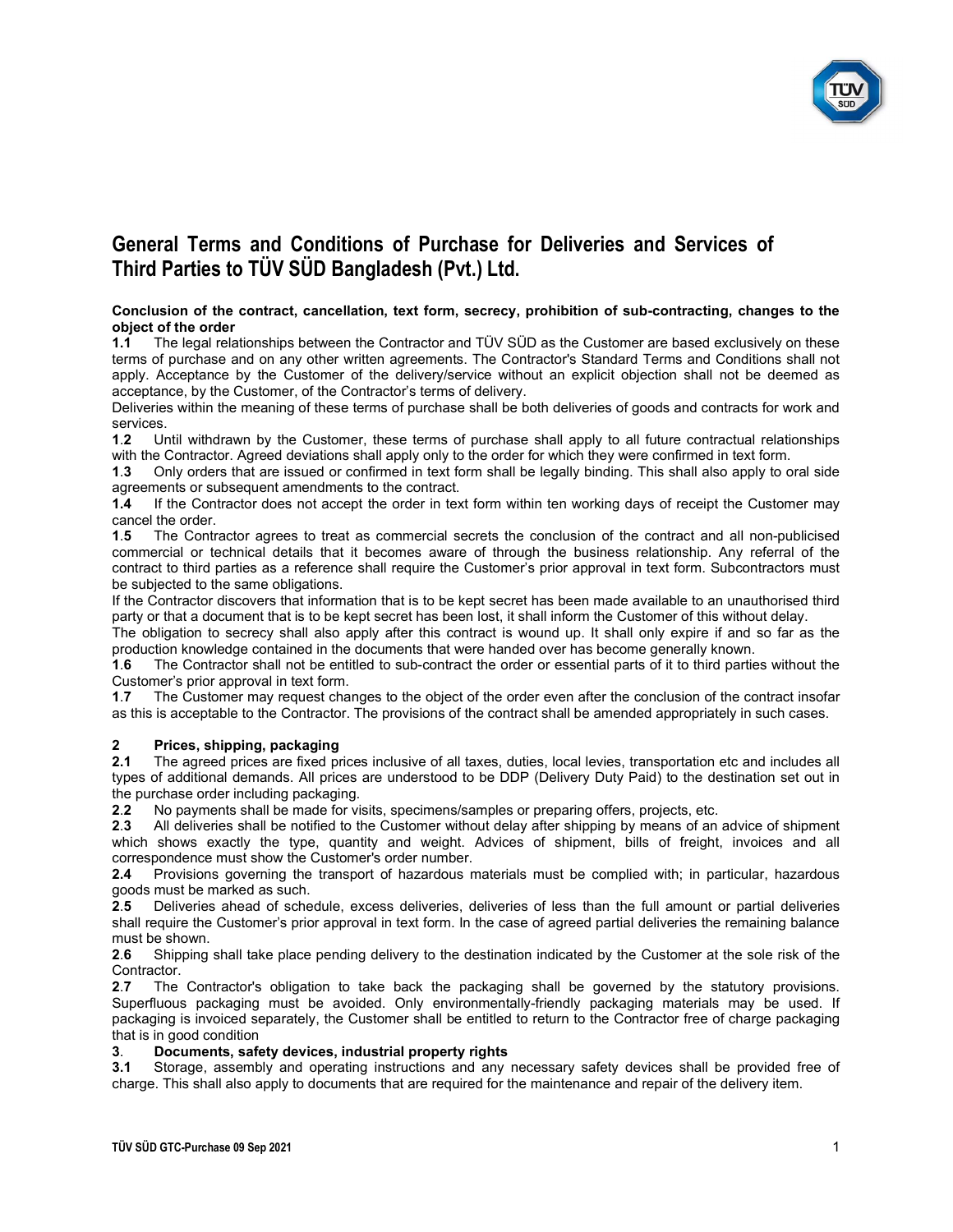

#### Conclusion of the contract, cancellation, text form, secrecy, prohibition of sub-contracting, changes to the object of the order

1.1 The legal relationships between the Contractor and TÜV SÜD as the Customer are based exclusively on these terms of purchase and on any other written agreements. The Contractor's Standard Terms and Conditions shall not apply. Acceptance by the Customer of the delivery/service without an explicit objection shall not be deemed as acceptance, by the Customer, of the Contractor's terms of delivery.

Deliveries within the meaning of these terms of purchase shall be both deliveries of goods and contracts for work and services.

1.2 Until withdrawn by the Customer, these terms of purchase shall apply to all future contractual relationships with the Contractor. Agreed deviations shall apply only to the order for which they were confirmed in text form.

1.3 Only orders that are issued or confirmed in text form shall be legally binding. This shall also apply to oral side agreements or subsequent amendments to the contract.

1.4 If the Contractor does not accept the order in text form within ten working days of receipt the Customer may cancel the order.

1.5 The Contractor agrees to treat as commercial secrets the conclusion of the contract and all non-publicised commercial or technical details that it becomes aware of through the business relationship. Any referral of the contract to third parties as a reference shall require the Customer's prior approval in text form. Subcontractors must be subjected to the same obligations.

If the Contractor discovers that information that is to be kept secret has been made available to an unauthorised third party or that a document that is to be kept secret has been lost, it shall inform the Customer of this without delay.

The obligation to secrecy shall also apply after this contract is wound up. It shall only expire if and so far as the production knowledge contained in the documents that were handed over has become generally known.

1.6 The Contractor shall not be entitled to sub-contract the order or essential parts of it to third parties without the Customer's prior approval in text form.

1.7 The Customer may request changes to the object of the order even after the conclusion of the contract insofar as this is acceptable to the Contractor. The provisions of the contract shall be amended appropriately in such cases.

### 2 Prices, shipping, packaging

2.1 The agreed prices are fixed prices inclusive of all taxes, duties, local levies, transportation etc and includes all types of additional demands. All prices are understood to be DDP (Delivery Duty Paid) to the destination set out in the purchase order including packaging.

2.2 No payments shall be made for visits, specimens/samples or preparing offers, projects, etc.

2.3 All deliveries shall be notified to the Customer without delay after shipping by means of an advice of shipment which shows exactly the type, quantity and weight. Advices of shipment, bills of freight, invoices and all correspondence must show the Customer's order number.

2.4 Provisions governing the transport of hazardous materials must be complied with; in particular, hazardous goods must be marked as such.

2.5 Deliveries ahead of schedule, excess deliveries, deliveries of less than the full amount or partial deliveries shall require the Customer's prior approval in text form. In the case of agreed partial deliveries the remaining balance must be shown.

2.6 Shipping shall take place pending delivery to the destination indicated by the Customer at the sole risk of the Contractor.

2.7 The Contractor's obligation to take back the packaging shall be governed by the statutory provisions. Superfluous packaging must be avoided. Only environmentally-friendly packaging materials may be used. If packaging is invoiced separately, the Customer shall be entitled to return to the Contractor free of charge packaging that is in good condition

#### 3. Documents, safety devices, industrial property rights

3.1 Storage, assembly and operating instructions and any necessary safety devices shall be provided free of charge. This shall also apply to documents that are required for the maintenance and repair of the delivery item.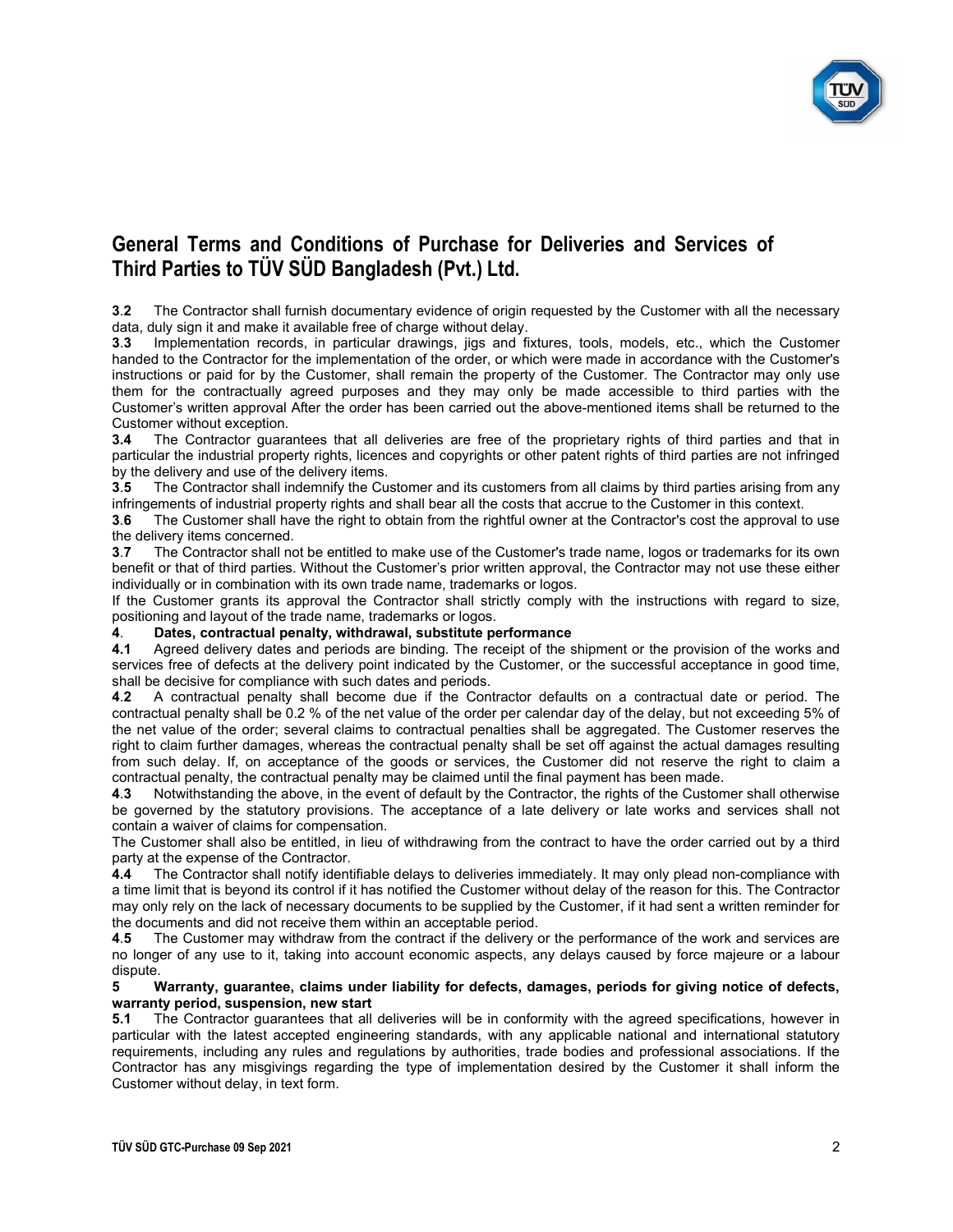

3.2 The Contractor shall furnish documentary evidence of origin requested by the Customer with all the necessary data, duly sign it and make it available free of charge without delay.

3.3 Implementation records, in particular drawings, jigs and fixtures, tools, models, etc., which the Customer handed to the Contractor for the implementation of the order, or which were made in accordance with the Customer's instructions or paid for by the Customer, shall remain the property of the Customer. The Contractor may only use them for the contractually agreed purposes and they may only be made accessible to third parties with the Customer's written approval After the order has been carried out the above-mentioned items shall be returned to the Customer without exception.

3.4 The Contractor guarantees that all deliveries are free of the proprietary rights of third parties and that in particular the industrial property rights, licences and copyrights or other patent rights of third parties are not infringed by the delivery and use of the delivery items.

3.5 The Contractor shall indemnify the Customer and its customers from all claims by third parties arising from any infringements of industrial property rights and shall bear all the costs that accrue to the Customer in this context.

3.6 The Customer shall have the right to obtain from the rightful owner at the Contractor's cost the approval to use the delivery items concerned.

3.7 The Contractor shall not be entitled to make use of the Customer's trade name, logos or trademarks for its own benefit or that of third parties. Without the Customer's prior written approval, the Contractor may not use these either individually or in combination with its own trade name, trademarks or logos.

If the Customer grants its approval the Contractor shall strictly comply with the instructions with regard to size, positioning and layout of the trade name, trademarks or logos.

### 4. Dates, contractual penalty, withdrawal, substitute performance

4.1 Agreed delivery dates and periods are binding. The receipt of the shipment or the provision of the works and services free of defects at the delivery point indicated by the Customer, or the successful acceptance in good time, shall be decisive for compliance with such dates and periods.

4.2 A contractual penalty shall become due if the Contractor defaults on a contractual date or period. The contractual penalty shall be 0.2 % of the net value of the order per calendar day of the delay, but not exceeding 5% of the net value of the order; several claims to contractual penalties shall be aggregated. The Customer reserves the right to claim further damages, whereas the contractual penalty shall be set off against the actual damages resulting from such delay. If, on acceptance of the goods or services, the Customer did not reserve the right to claim a contractual penalty, the contractual penalty may be claimed until the final payment has been made.

4.3 Notwithstanding the above, in the event of default by the Contractor, the rights of the Customer shall otherwise be governed by the statutory provisions. The acceptance of a late delivery or late works and services shall not contain a waiver of claims for compensation.

The Customer shall also be entitled, in lieu of withdrawing from the contract to have the order carried out by a third party at the expense of the Contractor.<br>4.4 The Contractor shall notify ident

4.4 The Contractor shall notify identifiable delays to deliveries immediately. It may only plead non-compliance with a time limit that is beyond its control if it has notified the Customer without delay of the reason for this. The Contractor may only rely on the lack of necessary documents to be supplied by the Customer, if it had sent a written reminder for the documents and did not receive them within an acceptable period.

4.5 The Customer may withdraw from the contract if the delivery or the performance of the work and services are no longer of any use to it, taking into account economic aspects, any delays caused by force majeure or a labour dispute.

#### 5 Warranty, guarantee, claims under liability for defects, damages, periods for giving notice of defects, warranty period, suspension, new start

5.1 The Contractor guarantees that all deliveries will be in conformity with the agreed specifications, however in particular with the latest accepted engineering standards, with any applicable national and international statutory requirements, including any rules and regulations by authorities, trade bodies and professional associations. If the Contractor has any misgivings regarding the type of implementation desired by the Customer it shall inform the Customer without delay, in text form.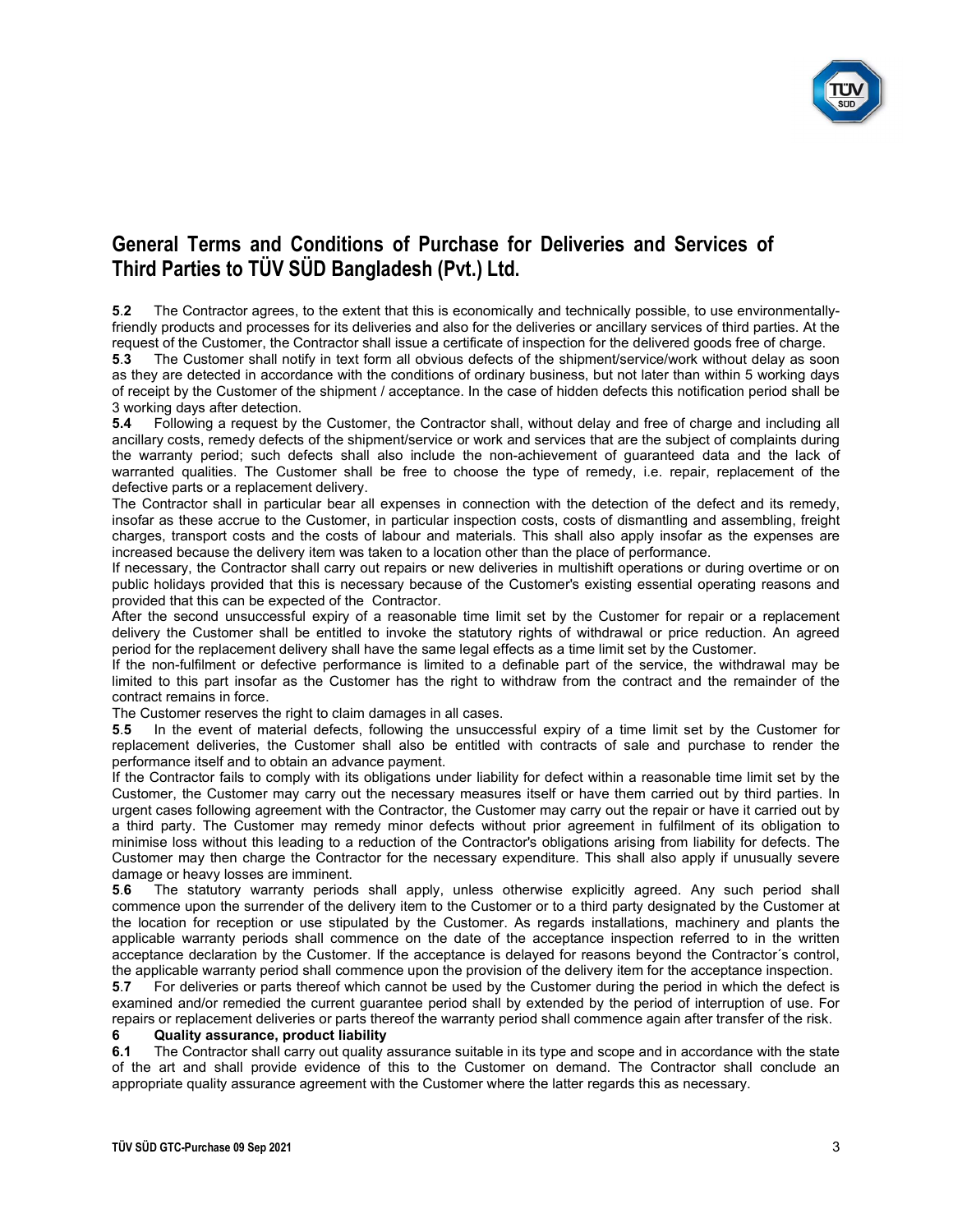

5.2 The Contractor agrees, to the extent that this is economically and technically possible, to use environmentallyfriendly products and processes for its deliveries and also for the deliveries or ancillary services of third parties. At the request of the Customer, the Contractor shall issue a certificate of inspection for the delivered goods free of charge.

5.3 The Customer shall notify in text form all obvious defects of the shipment/service/work without delay as soon as they are detected in accordance with the conditions of ordinary business, but not later than within 5 working days of receipt by the Customer of the shipment / acceptance. In the case of hidden defects this notification period shall be 3 working days after detection.

5.4 Following a request by the Customer, the Contractor shall, without delay and free of charge and including all ancillary costs, remedy defects of the shipment/service or work and services that are the subject of complaints during the warranty period; such defects shall also include the non-achievement of guaranteed data and the lack of warranted qualities. The Customer shall be free to choose the type of remedy, i.e. repair, replacement of the defective parts or a replacement delivery.

The Contractor shall in particular bear all expenses in connection with the detection of the defect and its remedy, insofar as these accrue to the Customer, in particular inspection costs, costs of dismantling and assembling, freight charges, transport costs and the costs of labour and materials. This shall also apply insofar as the expenses are increased because the delivery item was taken to a location other than the place of performance.

If necessary, the Contractor shall carry out repairs or new deliveries in multishift operations or during overtime or on public holidays provided that this is necessary because of the Customer's existing essential operating reasons and provided that this can be expected of the Contractor.

After the second unsuccessful expiry of a reasonable time limit set by the Customer for repair or a replacement delivery the Customer shall be entitled to invoke the statutory rights of withdrawal or price reduction. An agreed period for the replacement delivery shall have the same legal effects as a time limit set by the Customer.

If the non-fulfilment or defective performance is limited to a definable part of the service, the withdrawal may be limited to this part insofar as the Customer has the right to withdraw from the contract and the remainder of the contract remains in force.

The Customer reserves the right to claim damages in all cases.

5.5 In the event of material defects, following the unsuccessful expiry of a time limit set by the Customer for replacement deliveries, the Customer shall also be entitled with contracts of sale and purchase to render the performance itself and to obtain an advance payment.

If the Contractor fails to comply with its obligations under liability for defect within a reasonable time limit set by the Customer, the Customer may carry out the necessary measures itself or have them carried out by third parties. In urgent cases following agreement with the Contractor, the Customer may carry out the repair or have it carried out by a third party. The Customer may remedy minor defects without prior agreement in fulfilment of its obligation to minimise loss without this leading to a reduction of the Contractor's obligations arising from liability for defects. The Customer may then charge the Contractor for the necessary expenditure. This shall also apply if unusually severe damage or heavy losses are imminent.

5.6 The statutory warranty periods shall apply, unless otherwise explicitly agreed. Any such period shall commence upon the surrender of the delivery item to the Customer or to a third party designated by the Customer at the location for reception or use stipulated by the Customer. As regards installations, machinery and plants the applicable warranty periods shall commence on the date of the acceptance inspection referred to in the written acceptance declaration by the Customer. If the acceptance is delayed for reasons beyond the Contractor´s control, the applicable warranty period shall commence upon the provision of the delivery item for the acceptance inspection.

5.7 For deliveries or parts thereof which cannot be used by the Customer during the period in which the defect is examined and/or remedied the current guarantee period shall by extended by the period of interruption of use. For repairs or replacement deliveries or parts thereof the warranty period shall commence again after transfer of the risk.

#### 6 Quality assurance, product liability

6.1 The Contractor shall carry out quality assurance suitable in its type and scope and in accordance with the state of the art and shall provide evidence of this to the Customer on demand. The Contractor shall conclude an appropriate quality assurance agreement with the Customer where the latter regards this as necessary.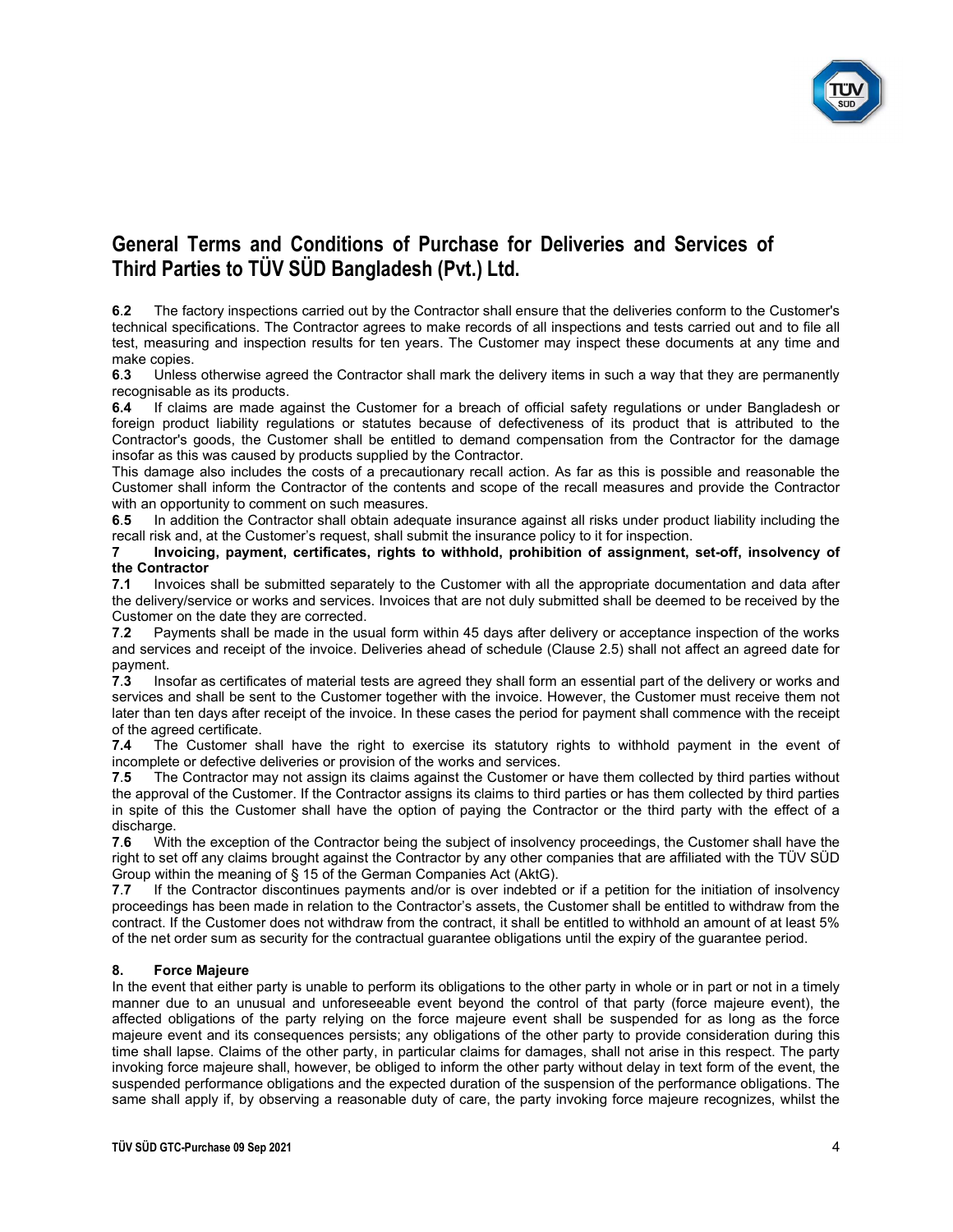

6.2 The factory inspections carried out by the Contractor shall ensure that the deliveries conform to the Customer's technical specifications. The Contractor agrees to make records of all inspections and tests carried out and to file all test, measuring and inspection results for ten years. The Customer may inspect these documents at any time and make copies.<br>6.3 Unless

Unless otherwise agreed the Contractor shall mark the delivery items in such a way that they are permanently recognisable as its products.

6.4 If claims are made against the Customer for a breach of official safety regulations or under Bangladesh or foreign product liability regulations or statutes because of defectiveness of its product that is attributed to the Contractor's goods, the Customer shall be entitled to demand compensation from the Contractor for the damage insofar as this was caused by products supplied by the Contractor.

This damage also includes the costs of a precautionary recall action. As far as this is possible and reasonable the Customer shall inform the Contractor of the contents and scope of the recall measures and provide the Contractor with an opportunity to comment on such measures.

6.5 In addition the Contractor shall obtain adequate insurance against all risks under product liability including the recall risk and, at the Customer's request, shall submit the insurance policy to it for inspection.

7 Invoicing, payment, certificates, rights to withhold, prohibition of assignment, set-off, insolvency of the Contractor

7.1 Invoices shall be submitted separately to the Customer with all the appropriate documentation and data after the delivery/service or works and services. Invoices that are not duly submitted shall be deemed to be received by the Customer on the date they are corrected.

7.2 Payments shall be made in the usual form within 45 days after delivery or acceptance inspection of the works and services and receipt of the invoice. Deliveries ahead of schedule (Clause 2.5) shall not affect an agreed date for payment.

7.3 Insofar as certificates of material tests are agreed they shall form an essential part of the delivery or works and services and shall be sent to the Customer together with the invoice. However, the Customer must receive them not later than ten days after receipt of the invoice. In these cases the period for payment shall commence with the receipt of the agreed certificate.

7.4 The Customer shall have the right to exercise its statutory rights to withhold payment in the event of incomplete or defective deliveries or provision of the works and services.

7.5 The Contractor may not assign its claims against the Customer or have them collected by third parties without the approval of the Customer. If the Contractor assigns its claims to third parties or has them collected by third parties in spite of this the Customer shall have the option of paying the Contractor or the third party with the effect of a discharge.

7.6 With the exception of the Contractor being the subject of insolvency proceedings, the Customer shall have the right to set off any claims brought against the Contractor by any other companies that are affiliated with the TÜV SÜD Group within the meaning of § 15 of the German Companies Act (AktG).

7.7 If the Contractor discontinues payments and/or is over indebted or if a petition for the initiation of insolvency proceedings has been made in relation to the Contractor's assets, the Customer shall be entitled to withdraw from the contract. If the Customer does not withdraw from the contract, it shall be entitled to withhold an amount of at least 5% of the net order sum as security for the contractual guarantee obligations until the expiry of the guarantee period.

#### 8. Force Majeure

In the event that either party is unable to perform its obligations to the other party in whole or in part or not in a timely manner due to an unusual and unforeseeable event beyond the control of that party (force majeure event), the affected obligations of the party relying on the force majeure event shall be suspended for as long as the force majeure event and its consequences persists; any obligations of the other party to provide consideration during this time shall lapse. Claims of the other party, in particular claims for damages, shall not arise in this respect. The party invoking force majeure shall, however, be obliged to inform the other party without delay in text form of the event, the suspended performance obligations and the expected duration of the suspension of the performance obligations. The same shall apply if, by observing a reasonable duty of care, the party invoking force majeure recognizes, whilst the